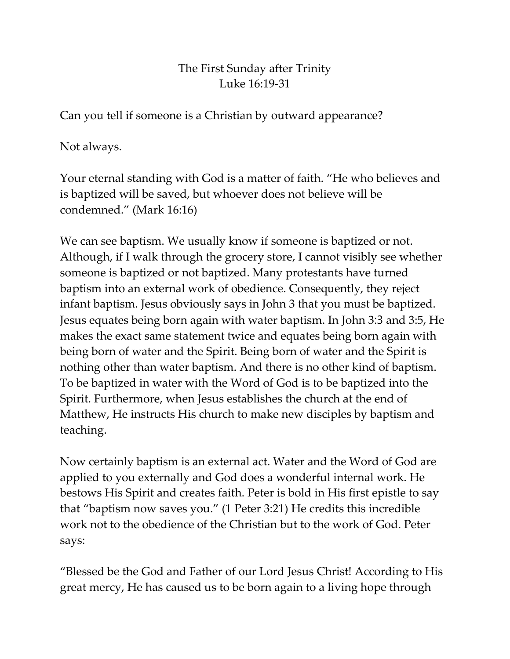## The First Sunday after Trinity Luke 16:19-31

Can you tell if someone is a Christian by outward appearance?

Not always.

Your eternal standing with God is a matter of faith. "He who believes and is baptized will be saved, but whoever does not believe will be condemned." (Mark 16:16)

We can see baptism. We usually know if someone is baptized or not. Although, if I walk through the grocery store, I cannot visibly see whether someone is baptized or not baptized. Many protestants have turned baptism into an external work of obedience. Consequently, they reject infant baptism. Jesus obviously says in John 3 that you must be baptized. Jesus equates being born again with water baptism. In John 3:3 and 3:5, He makes the exact same statement twice and equates being born again with being born of water and the Spirit. Being born of water and the Spirit is nothing other than water baptism. And there is no other kind of baptism. To be baptized in water with the Word of God is to be baptized into the Spirit. Furthermore, when Jesus establishes the church at the end of Matthew, He instructs His church to make new disciples by baptism and teaching.

Now certainly baptism is an external act. Water and the Word of God are applied to you externally and God does a wonderful internal work. He bestows His Spirit and creates faith. Peter is bold in His first epistle to say that "baptism now saves you." (1 Peter 3:21) He credits this incredible work not to the obedience of the Christian but to the work of God. Peter says:

"Blessed be the God and Father of our Lord Jesus Christ! According to His great mercy, He has caused us to be born again to a living hope through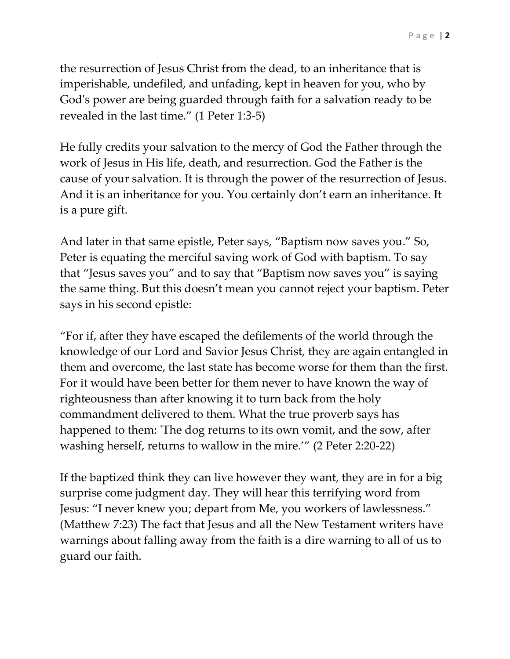P a g e | **2**

the resurrection of Jesus Christ from the dead, to an inheritance that is imperishable, undefiled, and unfading, kept in heaven for you, who by God's power are being guarded through faith for a salvation ready to be revealed in the last time." (1 Peter 1:3-5)

He fully credits your salvation to the mercy of God the Father through the work of Jesus in His life, death, and resurrection. God the Father is the cause of your salvation. It is through the power of the resurrection of Jesus. And it is an inheritance for you. You certainly don't earn an inheritance. It is a pure gift.

And later in that same epistle, Peter says, "Baptism now saves you." So, Peter is equating the merciful saving work of God with baptism. To say that "Jesus saves you" and to say that "Baptism now saves you" is saying the same thing. But this doesn't mean you cannot reject your baptism. Peter says in his second epistle:

"For if, after they have escaped the defilements of the world through the knowledge of our Lord and Savior Jesus Christ, they are again entangled in them and overcome, the last state has become worse for them than the first. For it would have been better for them never to have known the way of righteousness than after knowing it to turn back from the holy commandment delivered to them. What the true proverb says has happened to them: 'The dog returns to its own vomit, and the sow, after washing herself, returns to wallow in the mire.'" (2 Peter 2:20-22)

If the baptized think they can live however they want, they are in for a big surprise come judgment day. They will hear this terrifying word from Jesus: "I never knew you; depart from Me, you workers of lawlessness." (Matthew 7:23) The fact that Jesus and all the New Testament writers have warnings about falling away from the faith is a dire warning to all of us to guard our faith.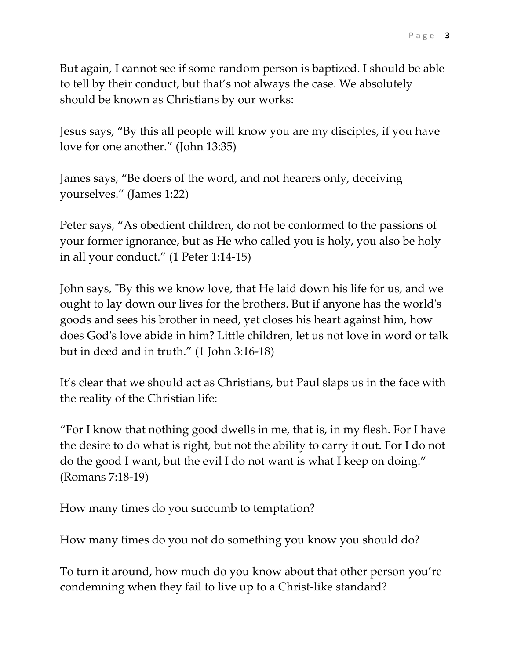But again, I cannot see if some random person is baptized. I should be able to tell by their conduct, but that's not always the case. We absolutely should be known as Christians by our works:

Jesus says, "By this all people will know you are my disciples, if you have love for one another." (John 13:35)

James says, "Be doers of the word, and not hearers only, deceiving yourselves." (James 1:22)

Peter says, "As obedient children, do not be conformed to the passions of your former ignorance, but as He who called you is holy, you also be holy in all your conduct." (1 Peter 1:14-15)

John says, "By this we know love, that He laid down his life for us, and we ought to lay down our lives for the brothers. But if anyone has the world's goods and sees his brother in need, yet closes his heart against him, how does God's love abide in him? Little children, let us not love in word or talk but in deed and in truth." (1 John 3:16-18)

It's clear that we should act as Christians, but Paul slaps us in the face with the reality of the Christian life:

"For I know that nothing good dwells in me, that is, in my flesh. For I have the desire to do what is right, but not the ability to carry it out. For I do not do the good I want, but the evil I do not want is what I keep on doing." (Romans 7:18-19)

How many times do you succumb to temptation?

How many times do you not do something you know you should do?

To turn it around, how much do you know about that other person you're condemning when they fail to live up to a Christ-like standard?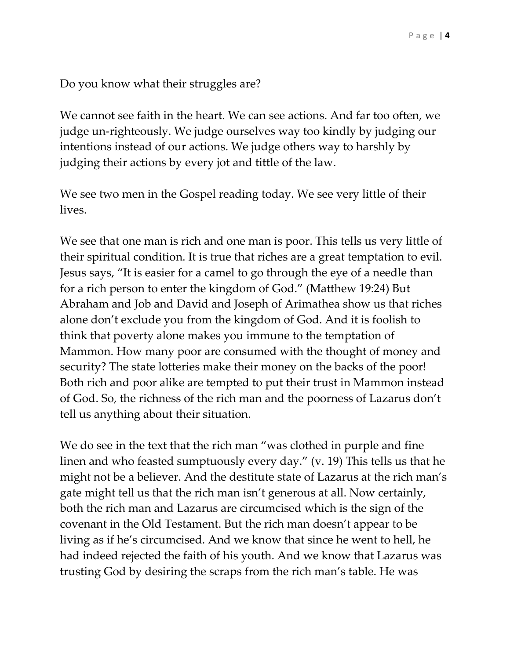Do you know what their struggles are?

We cannot see faith in the heart. We can see actions. And far too often, we judge un-righteously. We judge ourselves way too kindly by judging our intentions instead of our actions. We judge others way to harshly by judging their actions by every jot and tittle of the law.

We see two men in the Gospel reading today. We see very little of their lives.

We see that one man is rich and one man is poor. This tells us very little of their spiritual condition. It is true that riches are a great temptation to evil. Jesus says, "It is easier for a camel to go through the eye of a needle than for a rich person to enter the kingdom of God." (Matthew 19:24) But Abraham and Job and David and Joseph of Arimathea show us that riches alone don't exclude you from the kingdom of God. And it is foolish to think that poverty alone makes you immune to the temptation of Mammon. How many poor are consumed with the thought of money and security? The state lotteries make their money on the backs of the poor! Both rich and poor alike are tempted to put their trust in Mammon instead of God. So, the richness of the rich man and the poorness of Lazarus don't tell us anything about their situation.

We do see in the text that the rich man "was clothed in purple and fine linen and who feasted sumptuously every day." (v. 19) This tells us that he might not be a believer. And the destitute state of Lazarus at the rich man's gate might tell us that the rich man isn't generous at all. Now certainly, both the rich man and Lazarus are circumcised which is the sign of the covenant in the Old Testament. But the rich man doesn't appear to be living as if he's circumcised. And we know that since he went to hell, he had indeed rejected the faith of his youth. And we know that Lazarus was trusting God by desiring the scraps from the rich man's table. He was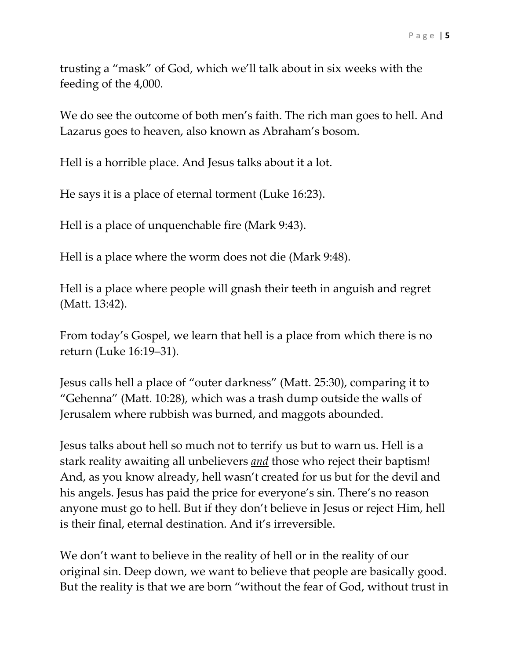trusting a "mask" of God, which we'll talk about in six weeks with the feeding of the 4,000.

We do see the outcome of both men's faith. The rich man goes to hell. And Lazarus goes to heaven, also known as Abraham's bosom.

Hell is a horrible place. And Jesus talks about it a lot.

He says it is a place of eternal torment (Luke 16:23).

Hell is a place of unquenchable fire (Mark 9:43).

Hell is a place where the worm does not die (Mark 9:48).

Hell is a place where people will gnash their teeth in anguish and regret (Matt. 13:42).

From today's Gospel, we learn that hell is a place from which there is no return (Luke 16:19–31).

Jesus calls hell a place of "outer darkness" (Matt. 25:30), comparing it to "Gehenna" (Matt. 10:28), which was a trash dump outside the walls of Jerusalem where rubbish was burned, and maggots abounded.

Jesus talks about hell so much not to terrify us but to warn us. Hell is a stark reality awaiting all unbelievers *and* those who reject their baptism! And, as you know already, hell wasn't created for us but for the devil and his angels. Jesus has paid the price for everyone's sin. There's no reason anyone must go to hell. But if they don't believe in Jesus or reject Him, hell is their final, eternal destination. And it's irreversible.

We don't want to believe in the reality of hell or in the reality of our original sin. Deep down, we want to believe that people are basically good. But the reality is that we are born "without the fear of God, without trust in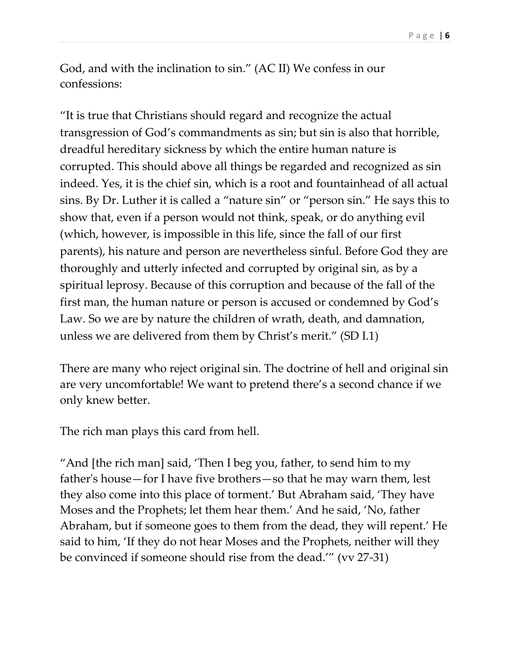God, and with the inclination to sin." (AC II) We confess in our confessions:

"It is true that Christians should regard and recognize the actual transgression of God's commandments as sin; but sin is also that horrible, dreadful hereditary sickness by which the entire human nature is corrupted. This should above all things be regarded and recognized as sin indeed. Yes, it is the chief sin, which is a root and fountainhead of all actual sins. By Dr. Luther it is called a "nature sin" or "person sin." He says this to show that, even if a person would not think, speak, or do anything evil (which, however, is impossible in this life, since the fall of our first parents), his nature and person are nevertheless sinful. Before God they are thoroughly and utterly infected and corrupted by original sin, as by a spiritual leprosy. Because of this corruption and because of the fall of the first man, the human nature or person is accused or condemned by God's Law. So we are by nature the children of wrath, death, and damnation, unless we are delivered from them by Christ's merit." (SD I.1)

There are many who reject original sin. The doctrine of hell and original sin are very uncomfortable! We want to pretend there's a second chance if we only knew better.

The rich man plays this card from hell.

"And [the rich man] said, 'Then I beg you, father, to send him to my father's house—for I have five brothers—so that he may warn them, lest they also come into this place of torment.' But Abraham said, 'They have Moses and the Prophets; let them hear them.' And he said, 'No, father Abraham, but if someone goes to them from the dead, they will repent.' He said to him, 'If they do not hear Moses and the Prophets, neither will they be convinced if someone should rise from the dead.'" (vv 27-31)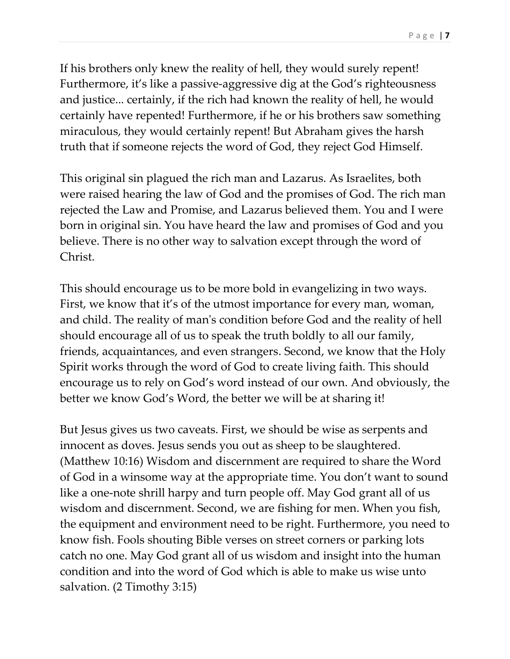If his brothers only knew the reality of hell, they would surely repent! Furthermore, it's like a passive-aggressive dig at the God's righteousness and justice... certainly, if the rich had known the reality of hell, he would certainly have repented! Furthermore, if he or his brothers saw something miraculous, they would certainly repent! But Abraham gives the harsh truth that if someone rejects the word of God, they reject God Himself.

This original sin plagued the rich man and Lazarus. As Israelites, both were raised hearing the law of God and the promises of God. The rich man rejected the Law and Promise, and Lazarus believed them. You and I were born in original sin. You have heard the law and promises of God and you believe. There is no other way to salvation except through the word of Christ.

This should encourage us to be more bold in evangelizing in two ways. First, we know that it's of the utmost importance for every man, woman, and child. The reality of man's condition before God and the reality of hell should encourage all of us to speak the truth boldly to all our family, friends, acquaintances, and even strangers. Second, we know that the Holy Spirit works through the word of God to create living faith. This should encourage us to rely on God's word instead of our own. And obviously, the better we know God's Word, the better we will be at sharing it!

But Jesus gives us two caveats. First, we should be wise as serpents and innocent as doves. Jesus sends you out as sheep to be slaughtered. (Matthew 10:16) Wisdom and discernment are required to share the Word of God in a winsome way at the appropriate time. You don't want to sound like a one-note shrill harpy and turn people off. May God grant all of us wisdom and discernment. Second, we are fishing for men. When you fish, the equipment and environment need to be right. Furthermore, you need to know fish. Fools shouting Bible verses on street corners or parking lots catch no one. May God grant all of us wisdom and insight into the human condition and into the word of God which is able to make us wise unto salvation. (2 Timothy 3:15)